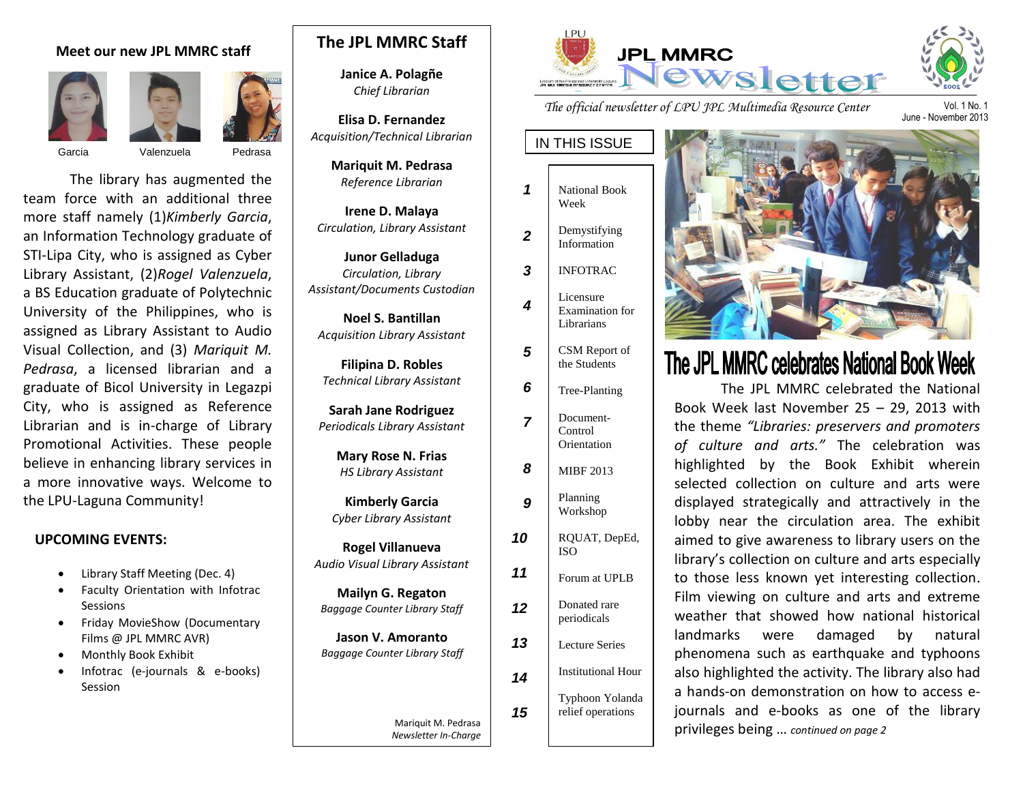#### **Meet our new JPL MMRC staff**







Garcia Valenzuela Pedrasa

The library has augmented the team force with an additional three more staff namely (1)*Kimberly Garcia*, an Information Technology graduate of STI-Lipa City, who is assigned as Cyber Library Assistant, (2)*Rogel Valenzuela*, a BS Education graduate of Polytechnic University of the Philippines, who is assigned as Library Assistant to Audio Visual Collection, and (3) *Mariquit M. Pedrasa*, a licensed librarian and a graduate of Bicol University in Legazpi City, who is assigned as Reference Librarian and is in-charge of Library Promotional Activities. These people believe in enhancing library services in a more innovative ways. Welcome to the LPU-Laguna Community!

#### **UPCOMING EVENTS:**

- Library Staff Meeting (Dec. 4)
- Faculty Orientation with Infotrac **Sessions**
- Friday MovieShow (Documentary Films @ JPL MMRC AVR)
- Monthly Book Exhibit
- Infotrac (e-journals & e-books) Session

# **The JPL MMRC Staff**

**Janice A. Polagñe** *Chief Librarian*

**Elisa D. Fernandez** *Acquisition/Technical Librarian*

> **Mariquit M. Pedrasa** *Reference Librarian*

**Irene D. Malaya** *Circulation, Library Assistant*

**Junor Gelladuga** *Circulation, Library Assistant/Documents Custodian*

**Noel S. Bantillan** *Acquisition Library Assistant*

**Filipina D. Robles** *Technical Library Assistant*

**Sarah Jane Rodriguez** *Periodicals Library Assistant*

> **Mary Rose N. Frias** *HS Library Assistant*

**Kimberly Garcia** *Cyber Library Assistant*

**Rogel Villanueva** *Audio Visual Library Assistant*

**Mailyn G. Regaton** *Baggage Counter Library Staff*

**Jason V. Amoranto**  *Baggage Counter Library Staff*

> Mariquit M. Pedrasa *Newsletter In-Charge*



*The official newsletter of LPU JPL Multimedia Resource Center* 

IN THIS ISSUE

- National Book Week *1*
- Demystifying Information *2*
- INFOTRAC *3*
- Licensure Examination for Librarians *4*
	- CSM Report of the Students
- Tree-Planting *6*

*5*

- Document-Control **Orientation** *7*
- MIBF 2013 *8*
- Planning Workshop *9*
- RQUAT, DepEd, ISO Forum at UPLB Donated rare periodicals *10 11 12*
- Lecture Series Institutional Hour Typhoon Yolanda *13 14*

*15*

relief operations



# The JPL MMRC celebrates National Book Week

The JPL MMRC celebrated the National Book Week last November 25 – 29, 2013 with the theme *"Libraries: preservers and promoters of culture and arts."* The celebration was highlighted by the Book Exhibit wherein selected collection on culture and arts were displayed strategically and attractively in the lobby near the circulation area. The exhibit aimed to give awareness to library users on the library's collection on culture and arts especially to those less known yet interesting collection. Film viewing on culture and arts and extreme weather that showed how national historical landmarks were damaged by natural phenomena such as earthquake and typhoons also highlighted the activity. The library also had a hands-on demonstration on how to access ejournals and e-books as one of the library privileges being … *continued on page 2*

Vol. 1 No. 1 June - November 2013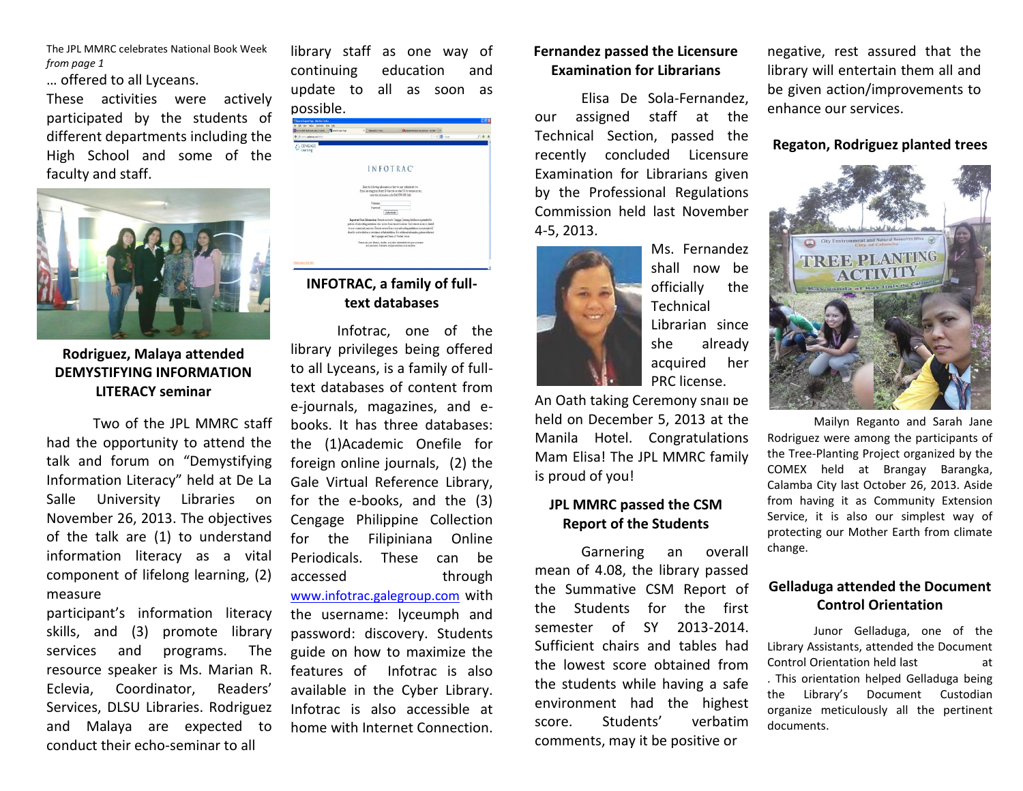The JPL MMRC celebrates National Book Week *from page 1* 

… offered to all Lyceans.

These activities were actively participated by the students of different departments including the High School and some of the faculty and staff.



## **Rodriguez, Malaya attended DEMYSTIFYING INFORMATION LITERACY seminar**

Two of the JPL MMRC staff had the opportunity to attend the talk and forum on "Demystifying Information Literacy" held at De La Salle University Libraries on November 26, 2013. The objectives of the talk are (1) to understand information literacy as a vital component of lifelong learning, (2) measure

participant's information literacy skills, and (3) promote library services and programs. The resource speaker is Ms. Marian R. Eclevia, Coordinator, Readers' Services, DLSU Libraries. Rodriguez and Malaya are expected to conduct their echo-seminar to all

library staff as one way of continuing education and update to all as soon as possible.



# **INFOTRAC, a family of fulltext databases**

Infotrac, one of the library privileges being offered to all Lyceans, is a family of fulltext databases of content from e-journals, magazines, and ebooks. It has three databases: the (1)Academic Onefile for foreign online journals, (2) the Gale Virtual Reference Library, for the e-books, and the (3) Cengage Philippine Collection for the Filipiniana Online Periodicals. These can be accessed through

[www.infotrac.galegroup.com](http://www.infotrac.galegroup.com/) with the username: lyceumph and password: discovery. Students guide on how to maximize the features of Infotrac is also available in the Cyber Library. Infotrac is also accessible at home with Internet Connection.

#### **Fernandez passed the Licensure Examination for Librarians**

Elisa De Sola-Fernandez, our assigned staff at the Technical Section, passed the recently concluded Licensure Examination for Librarians given by the Professional Regulations Commission held last November 4-5, 2013.



shall now be officially the **Technical** Librarian since she already acquired her PRC license.

An Oath taking Ceremony shall be held on December 5, 2013 at the Manila Hotel. Congratulations Mam Elisa! The JPL MMRC family is proud of you!

## **JPL MMRC passed the CSM Report of the Students**

Garnering an overall mean of 4.08, the library passed the Summative CSM Report of the Students for the first semester of SY 2013-2014. Sufficient chairs and tables had the lowest score obtained from the students while having a safe environment had the highest score. Students' verbatim comments, may it be positive or

negative, rest assured that the library will entertain them all and be given action/improvements to enhance our services.

#### **Regaton, Rodriguez planted trees**



Mailyn Reganto and Sarah Jane Rodriguez were among the participants of the Tree-Planting Project organized by the COMEX held at Brangay Barangka, Calamba City last October 26, 2013. Aside from having it as Community Extension Service, it is also our simplest way of protecting our Mother Earth from climate change.

### **Gelladuga attended the Document Control Orientation**

Junor Gelladuga, one of the Library Assistants, attended the Document Control Orientation held last at . This orientation helped Gelladuga being the Library's Document Custodian organize meticulously all the pertinent documents.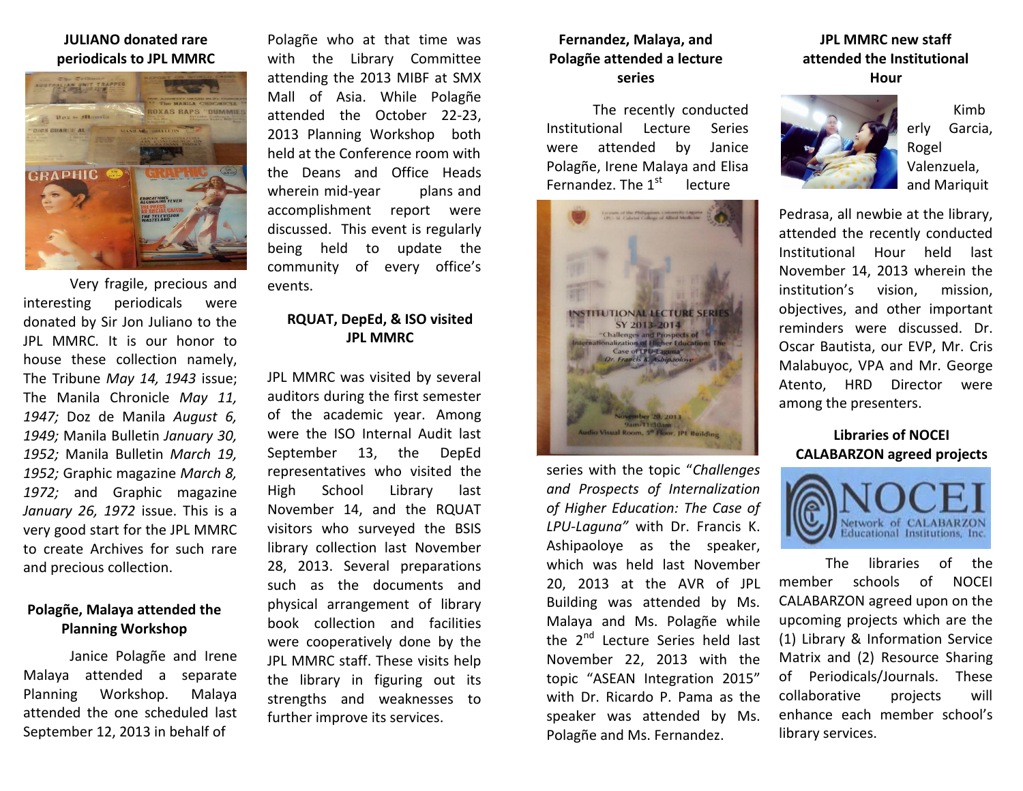#### **JULIANO donated rare periodicals to JPL MMRC**



Very fragile, precious and interesting periodicals were donated by Sir Jon Juliano to the JPL MMRC. It is our honor to house these collection namely, The Tribune *May 14, 1943* issue; The Manila Chronicle *May 11, 1947;* Doz de Manila *August 6, 1949;* Manila Bulletin *January 30, 1952;* Manila Bulletin *March 19, 1952;* Graphic magazine *March 8, 1972;* and Graphic magazine *January 26, 1972* issue. This is a very good start for the JPL MMRC to create Archives for such rare and precious collection.

## **Polagñe, Malaya attended the Planning Workshop**

Janice Polagñe and Irene Malaya attended a separate Planning Workshop. Malaya attended the one scheduled last September 12, 2013 in behalf of

Polagñe who at that time was with the Library Committee attending the 2013 MIBF at SMX Mall of Asia. While Polagñe attended the October 22-23, 2013 Planning Workshop both held at the Conference room with the Deans and Office Heads wherein mid-year plans and accomplishment report were discussed. This event is regularly being held to update the community of every office's events.

### **RQUAT, DepEd, & ISO visited JPL MMRC**

JPL MMRC was visited by several auditors during the first semester of the academic year. Among were the ISO Internal Audit last September 13, the DepEd representatives who visited the High School Library last November 14, and the RQUAT visitors who surveyed the BSIS library collection last November 28, 2013. Several preparations such as the documents and physical arrangement of library book collection and facilities were cooperatively done by the JPL MMRC staff. These visits help the library in figuring out its strengths and weaknesses to further improve its services.

#### **Fernandez, Malaya, and Polagñe attended a lecture series**

The recently conducted Institutional Lecture Series were attended by Janice Polagñe, Irene Malaya and Elisa Fernandez. The  $1<sup>st</sup>$  lecture



series with the topic "*Challenges and Prospects of Internalization of Higher Education: The Case of LPU-Laguna"* with Dr. Francis K. Ashipaoloye as the speaker, which was held last November 20, 2013 at the AVR of JPL Building was attended by Ms. Malaya and Ms. Polagñe while the 2<sup>nd</sup> Lecture Series held last November 22, 2013 with the topic "ASEAN Integration 2015" with Dr. Ricardo P. Pama as the speaker was attended by Ms. Polagñe and Ms. Fernandez.

# **JPL MMRC new staff attended the Institutional Hour**



Kimb erly Garcia, Rogel Valenzuela, and Mariquit

Pedrasa, all newbie at the library, attended the recently conducted Institutional Hour held last November 14, 2013 wherein the institution's vision, mission, objectives, and other important reminders were discussed. Dr. Oscar Bautista, our EVP, Mr. Cris Malabuyoc, VPA and Mr. George Atento, HRD Director were among the presenters.

# **Libraries of NOCEI CALABARZON agreed projects**



The libraries of the member schools of NOCEI CALABARZON agreed upon on the upcoming projects which are the (1) Library & Information Service Matrix and (2) Resource Sharing of Periodicals/Journals. These collaborative projects will enhance each member school's library services.